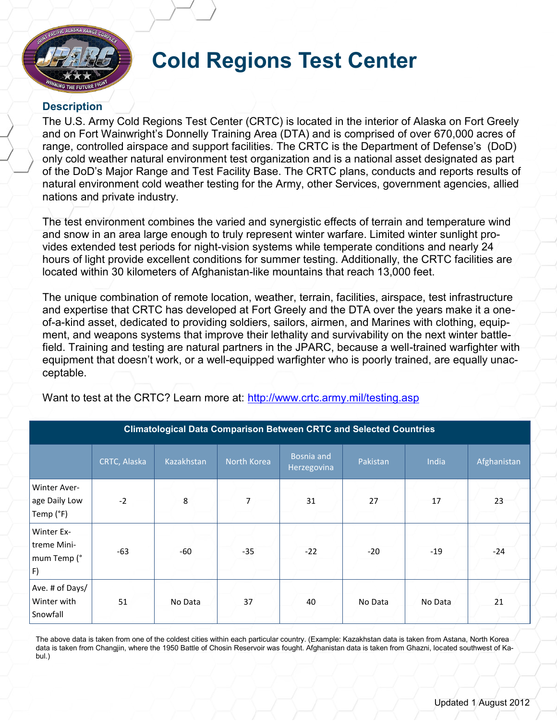

## **Cold Regions Test Center**

## **Description**

The U.S. Army Cold Regions Test Center (CRTC) is located in the interior of Alaska on Fort Greely and on Fort Wainwright's Donnelly Training Area (DTA) and is comprised of over 670,000 acres of range, controlled airspace and support facilities. The CRTC is the Department of Defense's (DoD) only cold weather natural environment test organization and is a national asset designated as part of the DoD's Major Range and Test Facility Base. The CRTC plans, conducts and reports results of natural environment cold weather testing for the Army, other Services, government agencies, allied nations and private industry.

The test environment combines the varied and synergistic effects of terrain and temperature wind and snow in an area large enough to truly represent winter warfare. Limited winter sunlight provides extended test periods for night-vision systems while temperate conditions and nearly 24 hours of light provide excellent conditions for summer testing. Additionally, the CRTC facilities are located within 30 kilometers of Afghanistan-like mountains that reach 13,000 feet.

The unique combination of remote location, weather, terrain, facilities, airspace, test infrastructure and expertise that CRTC has developed at Fort Greely and the DTA over the years make it a oneof-a-kind asset, dedicated to providing soldiers, sailors, airmen, and Marines with clothing, equipment, and weapons systems that improve their lethality and survivability on the next winter battlefield. Training and testing are natural partners in the JPARC, because a well-trained warfighter with equipment that doesn't work, or a well-equipped warfighter who is poorly trained, are equally unacceptable.

Want to test at the CRTC? Learn more at:<http://www.crtc.army.mil/testing.asp> **Climatological Data Comparison Between CRTC and Selected Countries**

|                                                | CRTC, Alaska | Kazakhstan | North Korea | Bosnia and<br>Herzegovina | Pakistan | India   | Afghanistan |
|------------------------------------------------|--------------|------------|-------------|---------------------------|----------|---------|-------------|
| Winter Aver-<br>age Daily Low<br>Temp (°F)     | $-2$         | 8          | 7           | 31                        | 27       | 17      | 23          |
| Winter Ex-<br>treme Mini-<br>mum Temp (°<br>F) | $-63$        | -60        | $-35$       | $-22$                     | $-20$    | $-19$   | $-24$       |
| Ave. # of Days/<br>Winter with<br>Snowfall     | 51           | No Data    | 37          | 40                        | No Data  | No Data | 21          |

The above data is taken from one of the coldest cities within each particular country. (Example: Kazakhstan data is taken from Astana, North Korea data is taken from Changjin, where the 1950 Battle of Chosin Reservoir was fought. Afghanistan data is taken from Ghazni, located southwest of Kabul.)